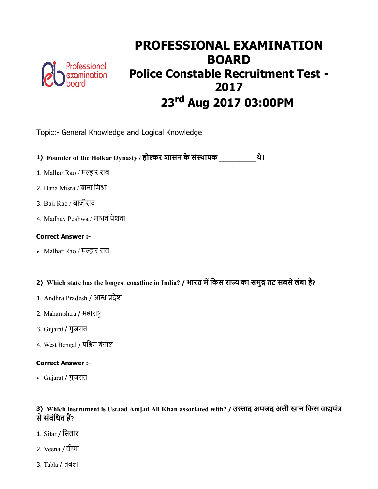

# PROFESSIONAL EXAMINATION BOARD Police Constable Recruitment Test - 2017 nord rd Aug 20.00PM

| ZJ'" AUG ZUI7 UJIUUPM                                                                              |
|----------------------------------------------------------------------------------------------------|
| Topic:- General Knowledge and Logical Knowledge                                                    |
| 1) Founder of the Holkar Dynasty / होल्कर शासन के संस्थापक<br>थे।                                  |
| 1. Malhar Rao / मल्हार राव                                                                         |
| 2. Bana Misra / बाना मिश्रा                                                                        |
| 3. Baji Rao / बाजीराव                                                                              |
| 4. Madhav Peshwa / माधव पेशवा                                                                      |
| <b>Correct Answer :-</b>                                                                           |
| • Malhar Rao / मल्हार राव                                                                          |
| 2) Which state has the longest coastline in India? / भारत में किस राज्य का समुद्र तट सबसे लंबा है? |
| 1. Andhra Pradesh / आन्ध्र प्रदेश                                                                  |
| 2. Maharashtra / महाराष्ट्र                                                                        |
| 3. Gujarat / गुजरात                                                                                |
| 4. West Bengal / पश्चिम बंगाल                                                                      |
| <b>Correct Answer :-</b>                                                                           |
| • Gujarat / गुजरात                                                                                 |
|                                                                                                    |
|                                                                                                    |

## 3) Which instrument is Ustaad Amjad Ali Khan associated with? / उस्ताद अमजद अली खान किस वाद्ययंत्र से संबंधित हैं?

- 1. Sitar / िसतार
- 2. Veena / वीणा
- 3. Tabla / तबला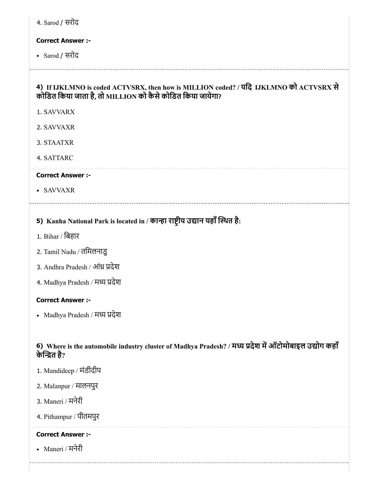4. Sarod / सरोद

## Correct Answer :-

Sarod / सरोद

## 4) If IJKLMNO is coded ACTVSRX, then how is MILLION coded? / यिद IJKLMNO को ACTVSRX से कोिडत िकया जाता है, तो MILLION को कैसेकोिडत िकया जायेगा?

1. SAVVARX

- 2. SAVVAXR
- 3. STAATXR
- 4. SATTARC

#### Correct Answer :-

SAVVAXR

## 5) Kanha National Park is located in / कान्हा राष्ट्रीय उद्यान यहाँ स्थित है:

- 1. Bihar / िबहार
- 2. Tamil Nadu / तिमलनाडु
- 3. Andhra Pradesh / आंध्र प्रदेश
- 4. Madhya Pradesh / मध्य प्रदेश

## Correct Answer :-

• Madhya Pradesh / मध्य प्रदेश

## 6) Where is the automobile industry cluster of Madhya Pradesh? / मध्य प्रदेश में ऑटोमोबाइल उद्योग कहाँ केत है?

- 1. Mandideep / मंडीदीप
- 2. Malanpur / मालनपुर
- 3. Maneri / मनेरी
- 4. Pithampur / पीतमपुर

## Correct Answer :-

Maneri / मनेरी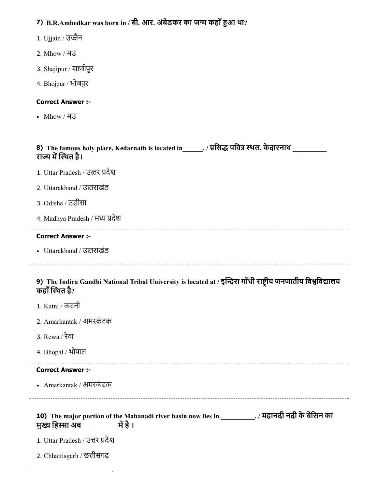| 7) B.R.Ambedkar was born in / बी. आर. अंबेडकर का जन्म कहाँ हुआ था?                                                              |
|---------------------------------------------------------------------------------------------------------------------------------|
| 1. Ujjain / उज्जैन                                                                                                              |
| 2. Mhow / ਸਰ                                                                                                                    |
| 3. Shajipur / शाजीपुर                                                                                                           |
| 4. Bhojpur / भोजपुर                                                                                                             |
| <b>Correct Answer :-</b>                                                                                                        |
| • Mhow / ਸਤ                                                                                                                     |
|                                                                                                                                 |
| 8) The famous holy place, Kedarnath is located in_______. / प्रसिद्ध पवित्र स्थल, केदारनाथ<br>राज्य में स्थित है।               |
| 1. Uttar Pradesh / उत्तर प्रदेश                                                                                                 |
| 2. Uttarakhand / उत्तराखंड                                                                                                      |
| 3. Odisha / उड़ीसा                                                                                                              |
| 4. Madhya Pradesh / मध्य प्रदेश                                                                                                 |
| <b>Correct Answer :-</b>                                                                                                        |
|                                                                                                                                 |
| • Uttarakhand / उत्तराखंड                                                                                                       |
| 9) The Indira Gandhi National Tribal University is located at / इन्दिरा गाँधी राष्ट्रीय जनजातीय विश्वविद्यालय<br>कहाँ स्थित है? |
| 1. Katni / कटनी                                                                                                                 |
| 2. Amarkantak / अमरकंटक                                                                                                         |
| 3. Rewa / रेवा                                                                                                                  |
| 4. Bhopal / भोपाल                                                                                                               |
| <b>Correct Answer :-</b>                                                                                                        |
| • Amarkantak / अमरकंटक                                                                                                          |
| 10) The major portion of the Mahanadi river basin now lies in ____________. / महानदी नदी के बेसिन का                            |
| 1. Uttar Pradesh / उत्तर प्रदेश                                                                                                 |
| 2. Chhattisgarh / छत्तीसगढ़                                                                                                     |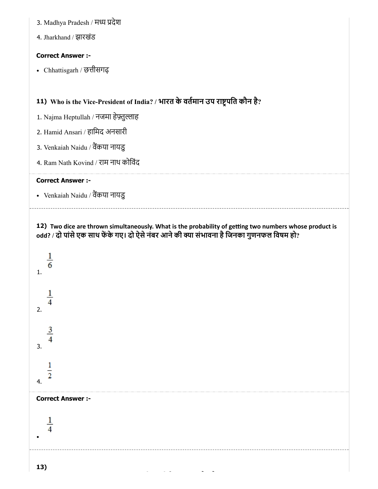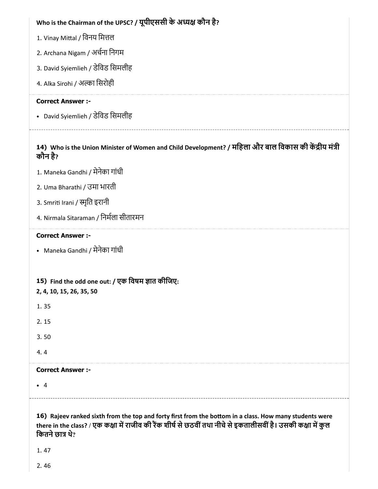| Who is the Chairman of the UPSC? / यूपीएससी के अध्यक्ष कौन है?                                                                                                                                                                                      |
|-----------------------------------------------------------------------------------------------------------------------------------------------------------------------------------------------------------------------------------------------------|
| 1. Vinay Mittal / विनय मित्तल                                                                                                                                                                                                                       |
| 2. Archana Nigam / अर्चना निगम                                                                                                                                                                                                                      |
| 3. David Syiemlieh / डेविड सिमलीह                                                                                                                                                                                                                   |
| 4. Alka Sirohi / अल्का सिरोही                                                                                                                                                                                                                       |
| <b>Correct Answer :-</b>                                                                                                                                                                                                                            |
| • David Syiemlieh / डेविड सिमलीह                                                                                                                                                                                                                    |
| 14) Who is the Union Minister of Women and Child Development? / महिला और बाल विकास की केंद्रीय मंत्री<br>कौन है?                                                                                                                                    |
| 1. Maneka Gandhi / मेनेका गांधी                                                                                                                                                                                                                     |
| 2. Uma Bharathi / उमा भारती                                                                                                                                                                                                                         |
| 3. Smriti Irani / स्मृति इरानी                                                                                                                                                                                                                      |
| 4. Nirmala Sitaraman / निर्मला सीतारमन                                                                                                                                                                                                              |
| <b>Correct Answer :-</b>                                                                                                                                                                                                                            |
| • Maneka Gandhi / मेनेका गांधी                                                                                                                                                                                                                      |
| 15) Find the odd one out: / एक विषम ज्ञात कीजिए:<br>2, 4, 10, 15, 26, 35, 50                                                                                                                                                                        |
| 1.35                                                                                                                                                                                                                                                |
| 2.15                                                                                                                                                                                                                                                |
| 3.50                                                                                                                                                                                                                                                |
| 4.4                                                                                                                                                                                                                                                 |
| <b>Correct Answer :-</b>                                                                                                                                                                                                                            |
| $\bullet$ 4                                                                                                                                                                                                                                         |
| 16) Rajeev ranked sixth from the top and forty first from the bottom in a class. How many students were<br>there in the class? / एक कक्षा में राजीव की रैंक शीर्ष से छठवीं तथा नीचे से इकतालीसवीं है। उसकी कक्षा में कुल<br>कितने छात्र थे?<br>1.47 |
|                                                                                                                                                                                                                                                     |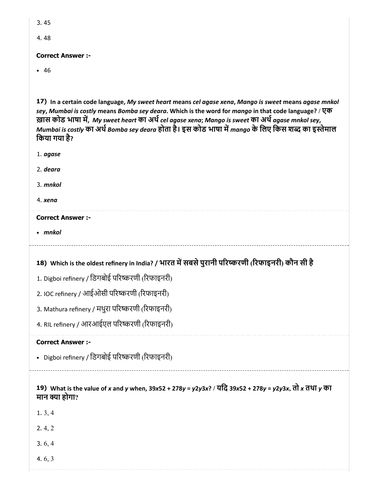| ۰.<br>M.<br>۰.<br>- |
|---------------------|
|---------------------|

4. 48

## Correct Answer :-

• 46

17) In a certain code language, My sweet heart means cel agase xena, Mango is sweet means agase mnkol sey, Mumbai is costly means Bomba sey deara. Which is the word for mango in that code language? / एक ख़ास कोड भाषा में, My sweet heart का अर्थ cel agase xena; Mango is sweet का अर्थ agase mnkol sey, Mumbai is costly का अर्थ Bomba sey deara होता है। इस कोड भाषा में mango के लिए किस शब्द का इस्तेमाल किया गया है?

- 1. agase
- 2. deara
- 3. mnkol
- 4. xena

## Correct Answer :-

• mnkol

# 18) Which is the oldest refinery in India? / भारत में सबसे पुरानी परिष्करणी (रिफाइनरी) कौन सी है

- 1. Digboi refinery / िडगबोई पररणी (रफाइनरी)
- 2. IOC refinery / आईओसी पररणी (रफाइनरी)
- 3. Mathura refinery / मथुरा परिष्करणी (रिफाइनरी)
- 4. RIL refinery / आरआईएल पररणी (रफाइनरी)

## Correct Answer :-

- Digboi refinery / िडगबोई पररणी (रफाइनरी)
- 19) What is the value of x and y when, 39x52 + 278y = y2y3x? / यिद 39x52 + 278y = y2y3x, तो x तथा y का मान या होगा?
- 1. 3, 4
- 2. 4, 2
- 3. 6, 4
- 4. 6, 3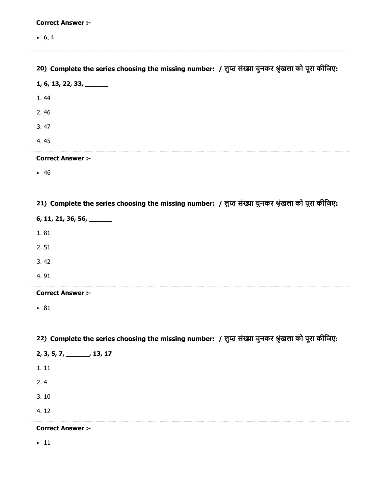| <b>Correct Answer :-</b>                                                                          |
|---------------------------------------------------------------------------------------------------|
| • $6, 4$                                                                                          |
|                                                                                                   |
| 20) Complete the series choosing the missing number: / लुप्त संख्या चुनकर श्रृंखला को पूरा कीजिए: |
| $1, 6, 13, 22, 33, \underline{\hspace{1cm}}$                                                      |
| 1.44                                                                                              |
| 2.46                                                                                              |
| 3.47                                                                                              |
| 4.45                                                                                              |
| <b>Correct Answer :-</b>                                                                          |
| • 46                                                                                              |
|                                                                                                   |
| 21) Complete the series choosing the missing number: / लुप्त संख्या चुनकर श्रृंखला को पूरा कीजिए: |
| $6, 11, 21, 36, 56, \underline{\hspace{1cm}}$                                                     |
| 1.81                                                                                              |
| 2.51                                                                                              |
| 3.42                                                                                              |
| 4.91                                                                                              |
| <b>Correct Answer :-</b>                                                                          |
| • 81                                                                                              |
|                                                                                                   |
| 22) Complete the series choosing the missing number: / लुप्त संख्या चुनकर श्रृंखला को पूरा कीजिए: |
| $2, 3, 5, 7, \underline{\hspace{1cm}} 13, 17$                                                     |
| 1.11                                                                                              |
| 2.4                                                                                               |
| 3.10                                                                                              |
| 4.12                                                                                              |
| <b>Correct Answer :-</b>                                                                          |
| $\bullet$ 11                                                                                      |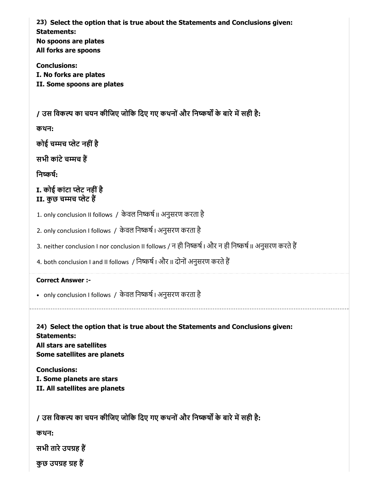23) Select the option that is true about the Statements and Conclusions given: Statements: No spoons are plates All forks are spoons Conclusions:

I. No forks are plates II. Some spoons are plates

/ उस विकल्प का चयन कीजिए जोकि दिए गए कथनों और निष्कर्षों के बारे में सही है:

कथन:

कोई चमच लेट नहींहै

सभी कांटेचमच ह

निष्कर्ष:

I. कोई कांटा लेट नहींहै II. कुछ चमच लेट ह

1. only conclusion II follows / केवल निष्कर्ष II अनुसरण करता है

2. only conclusion I follows / केवल निष्कर्ष | अनुसरण करता है

3. neither conclusion I nor conclusion II follows / न ही निष्कर्ष | और न ही निष्कर्ष || अनुसरण करते हैं

4. both conclusion I and II follows / निष्कर्ष | और || दोनों अनुसरण करते हैं

Correct Answer :-

• only conclusion I follows / केवल निष्कर्ष | अनुसरण करता है

24) Select the option that is true about the Statements and Conclusions given: Statements: All stars are satellites Some satellites are planets

Conclusions: I. Some planets are stars II. All satellites are planets

/ उस विकल्प का चयन कीजिए जोकि दिए गए कथनों और निष्कर्षों के बारे में सही है:

कथन:

सभी तारे उपग्रह हैं

कुछ उपग्रह ग्रह हैं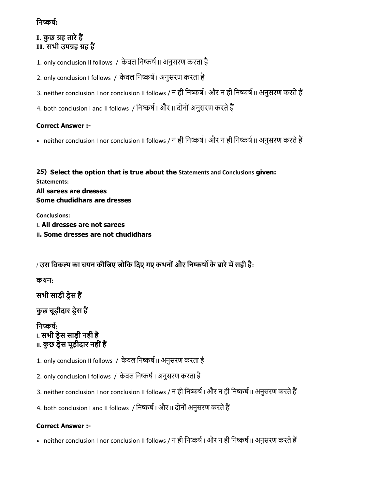## निष्कर्ष:

I. कुछ ग्रह तारे हैं II. सभी उपग्रह ग्रह हैं

1. only conclusion II follows / केवल निष्कर्ष II अनुसरण करता है

2. only conclusion I follows / केवल निष्कर्ष । अनुसरण करता है

3. neither conclusion I nor conclusion II follows / न ही निष्कर्ष | और न ही निष्कर्ष || अनुसरण करते हैं

4. both conclusion I and II follows / निष्कर्ष I और II दोनों अनुसरण करते हैं

## Correct Answer :-

• neither conclusion I nor conclusion II follows / न ही निष्कर्ष । और न ही निष्कर्ष II अनुसरण करते हैं

25) Select the option that is true about the Statements and Conclusions given: Statements: All sarees are dresses Some chudidhars are dresses

Conclusions: I. All dresses are not sarees II. Some dresses are not chudidhars

/ उस विकल्प का चयन कीजिए जोकि दिए गए कथनों और निष्कर्षों के बारे में सही है:

कथन:

सभी साड़ी डेस ह

कुछ चूड़ीदार ड्रेस हैं

निष्कर्ष: I. सभी डेस साड़ी नहींहै II. कुछ डेस चूड़ीदार नहींह

1. only conclusion II follows / केवल निष्कर्ष II अनुसरण करता है

2. only conclusion I follows / केवल निष्कर्ष | अनुसरण करता है

3. neither conclusion I nor conclusion II follows / न ही निष्कर्ष | और न ही निष्कर्ष || अनुसरण करते हैं

4. both conclusion I and II follows / निष्कर्ष | और || दोनों अनुसरण करते हैं

## Correct Answer :-

• neither conclusion I nor conclusion II follows / न ही निष्कर्ष । और न ही निष्कर्ष II अनुसरण करते हैं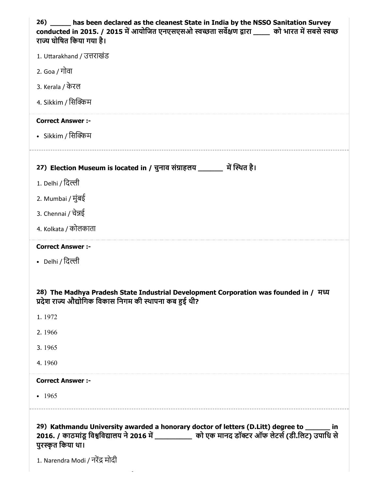| 26) _____ has been declared as the cleanest State in India by the NSSO Sanitation Survey<br>conducted in 2015. / 2015 में आयोजित एनएसएसओ स्वच्छता सर्वेक्षण द्वारा _____ को भारत में सबसे स्वच्छ<br>राज्य घोषित किया गया है।                                |
|-------------------------------------------------------------------------------------------------------------------------------------------------------------------------------------------------------------------------------------------------------------|
| 1. Uttarakhand / उत्तराखंड                                                                                                                                                                                                                                  |
| 2. Goa / गोवा                                                                                                                                                                                                                                               |
| 3. Kerala / केरल                                                                                                                                                                                                                                            |
| 4. Sikkim / सिक्किम                                                                                                                                                                                                                                         |
| <b>Correct Answer :-</b>                                                                                                                                                                                                                                    |
| • Sikkim / सिक्किम                                                                                                                                                                                                                                          |
|                                                                                                                                                                                                                                                             |
| 27) Election Museum is located in / चुनाव संग्राहलय ______ में स्थित है।                                                                                                                                                                                    |
| 1. Delhi / दिल्ली                                                                                                                                                                                                                                           |
| 2. Mumbai / मुंबई                                                                                                                                                                                                                                           |
| 3. Chennai / चेन्नई                                                                                                                                                                                                                                         |
| 4. Kolkata / कोलकाता                                                                                                                                                                                                                                        |
| <b>Correct Answer :-</b>                                                                                                                                                                                                                                    |
| • Delhi / दिल्ली                                                                                                                                                                                                                                            |
|                                                                                                                                                                                                                                                             |
| 28) The Madhya Pradesh State Industrial Development Corporation was founded in / मध्य<br>प्रदेश राज्य औद्योगिक विकास निगम की स्थापना कब हुई थी?                                                                                                             |
| 1.1972                                                                                                                                                                                                                                                      |
| 2.1966                                                                                                                                                                                                                                                      |
| 3.1965                                                                                                                                                                                                                                                      |
| 4.1960                                                                                                                                                                                                                                                      |
| <b>Correct Answer :-</b>                                                                                                                                                                                                                                    |
| $-1965$                                                                                                                                                                                                                                                     |
|                                                                                                                                                                                                                                                             |
| 29) Kathmandu University awarded a honorary doctor of letters (D.Litt) degree to ______ in<br>2016. / काठमांडू विश्वविद्यालय ने 2016 में ____________ को एक मानद डॉक्टर ऑफ लेटर्स (डी.लिट) उपाधि से<br>पुरस्कृत किया था।<br>1. Narendra Modi / नरेंद्र मोदी |

 $\overline{\phantom{a}}$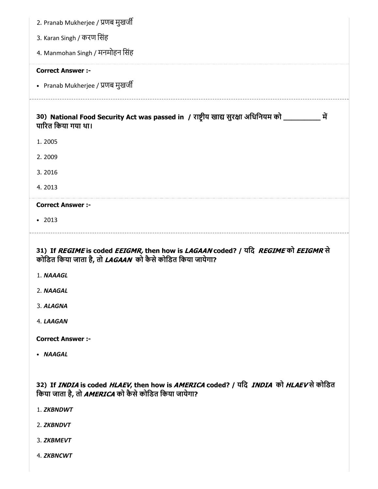| 2. Pranab Mukherjee / प्रणब मुखर्जी                                                                                                          |
|----------------------------------------------------------------------------------------------------------------------------------------------|
| 3. Karan Singh / करण सिंह                                                                                                                    |
| 4. Manmohan Singh / मनमोहन सिंह                                                                                                              |
| <b>Correct Answer :-</b>                                                                                                                     |
| • Pranab Mukherjee / प्रणब मुखर्जी                                                                                                           |
| 30) National Food Security Act was passed in / राष्ट्रीय खाद्य सुरक्षा अधिनियम को __________<br>में<br>पारित किया गया था।                    |
| 1.2005                                                                                                                                       |
| 2.2009                                                                                                                                       |
| 3.2016                                                                                                                                       |
| 4.2013                                                                                                                                       |
| <b>Correct Answer :-</b>                                                                                                                     |
| • 2013                                                                                                                                       |
| 31) If REGIME is coded EEIGMR, then how is LAGAAN coded? / यदि REGIME को EEIGMR से                                                           |
| कोडित किया जाता है, तो LAGAAN को कैसे कोडित किया जायेगा?                                                                                     |
| 1. NAAAGL                                                                                                                                    |
| 2. NAAGAL                                                                                                                                    |
| 3. ALAGNA                                                                                                                                    |
| 4. LAAGAN                                                                                                                                    |
| <b>Correct Answer:-</b>                                                                                                                      |
| • NAAGAL                                                                                                                                     |
|                                                                                                                                              |
| 32) If INDIA is coded HLAEV, then how is AMERICA coded? / यदि INDIA को HLAEV से कोडित<br>किया जाता है, तो AMERICA को कैसे कोडित किया जायेगा? |
| 1. ZKBNDWT                                                                                                                                   |
| 2. ZKBNDVT                                                                                                                                   |
| 3. ZKBMEVT                                                                                                                                   |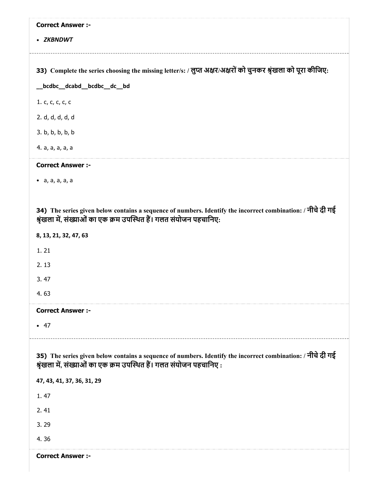| <b>Correct Answer :-</b>                                                                                                                                                           |
|------------------------------------------------------------------------------------------------------------------------------------------------------------------------------------|
| • ZKBNDWT                                                                                                                                                                          |
|                                                                                                                                                                                    |
| 33) Complete the series choosing the missing letter/s: / लुप्त अक्षर/अक्षरों को चुनकर श्रृंखला को पूरा कीजिए:                                                                      |
| _bcdbc__dcabd__bcdbc__dc__bd                                                                                                                                                       |
| 1. c, c, c, c, c                                                                                                                                                                   |
| 2. d, d, d, d, d                                                                                                                                                                   |
| 3. b, b, b, b, b                                                                                                                                                                   |
| 4. a, a, a, a, a                                                                                                                                                                   |
| <b>Correct Answer :-</b>                                                                                                                                                           |
| $\bullet$ a, a, a, a, a                                                                                                                                                            |
|                                                                                                                                                                                    |
| 34) The series given below contains a sequence of numbers. Identify the incorrect combination: / नीचे दी गई<br>श्रृंखला में, संख्याओं का एक क्रम उपस्थित हैं। गलत संयोजन पहचानिए:  |
| 8, 13, 21, 32, 47, 63                                                                                                                                                              |
| 1.21                                                                                                                                                                               |
| 2.13                                                                                                                                                                               |
| 3.47                                                                                                                                                                               |
| 4.63                                                                                                                                                                               |
| <b>Correct Answer :-</b>                                                                                                                                                           |
| • 47                                                                                                                                                                               |
|                                                                                                                                                                                    |
| 35) The series given below contains a sequence of numbers. Identify the incorrect combination: / नीचे दी गई<br>श्रृंखला में, संख्याओं का एक क्रम उपस्थित हैं। गलत संयोजन पहचानिए : |
| 47, 43, 41, 37, 36, 31, 29                                                                                                                                                         |
| 1.47                                                                                                                                                                               |
| 2.41                                                                                                                                                                               |
| 3.29                                                                                                                                                                               |
| 4.36                                                                                                                                                                               |
| <b>Correct Answer :-</b>                                                                                                                                                           |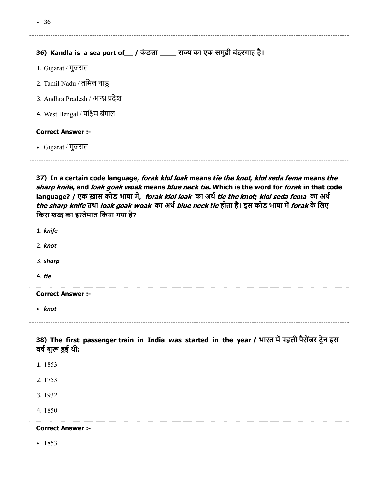| • 36                                                                                                                                                                                                                                                                                                                                                                                                                                                                                                                             |
|----------------------------------------------------------------------------------------------------------------------------------------------------------------------------------------------------------------------------------------------------------------------------------------------------------------------------------------------------------------------------------------------------------------------------------------------------------------------------------------------------------------------------------|
| 36) Kandla is a sea port of__ / कंडला ____ राज्य का एक समुद्री बंदरगाह है।                                                                                                                                                                                                                                                                                                                                                                                                                                                       |
| 1. Gujarat / गुजरात                                                                                                                                                                                                                                                                                                                                                                                                                                                                                                              |
| 2. Tamil Nadu / तमिल नाडु                                                                                                                                                                                                                                                                                                                                                                                                                                                                                                        |
| 3. Andhra Pradesh / आन्ध्र प्रदेश                                                                                                                                                                                                                                                                                                                                                                                                                                                                                                |
| 4. West Bengal / पश्चिम बंगाल                                                                                                                                                                                                                                                                                                                                                                                                                                                                                                    |
| <b>Correct Answer :-</b>                                                                                                                                                                                                                                                                                                                                                                                                                                                                                                         |
| • Gujarat / गुजरात                                                                                                                                                                                                                                                                                                                                                                                                                                                                                                               |
| 37) In a certain code language, forak klol loak means tie the knot, klol seda fema means the<br>sharp knife, and loak goak woak means blue neck tie. Which is the word for forak in that code<br>language? / एक ख़ास कोड भाषा में, <i>forak klol loak </i> का अर्थ <i>tie the knot; klol seda fema </i> का अर्थ<br><i>the sharp knife</i> तथा <i>loak goak woak का अ</i> र्थ <i>blue neck tie</i> होता है। इस कोड भाषा में <i>forak</i> के लिए<br>किस शब्द का इस्तेमाल किया गया है?<br>1. knife<br>2. knot<br>3. sharp<br>4. tie |
| <b>Correct Answer :-</b><br>• knot                                                                                                                                                                                                                                                                                                                                                                                                                                                                                               |
| 38) The first passenger train in India was started in the year / भारत में पहली पैसेंजर ट्रेन इस<br>वर्ष शुरू हुई थी:<br>1.1853                                                                                                                                                                                                                                                                                                                                                                                                   |
| 2.1753                                                                                                                                                                                                                                                                                                                                                                                                                                                                                                                           |
| 3.1932                                                                                                                                                                                                                                                                                                                                                                                                                                                                                                                           |
| 4.1850                                                                                                                                                                                                                                                                                                                                                                                                                                                                                                                           |
| <b>Correct Answer :-</b>                                                                                                                                                                                                                                                                                                                                                                                                                                                                                                         |
| $-1853$                                                                                                                                                                                                                                                                                                                                                                                                                                                                                                                          |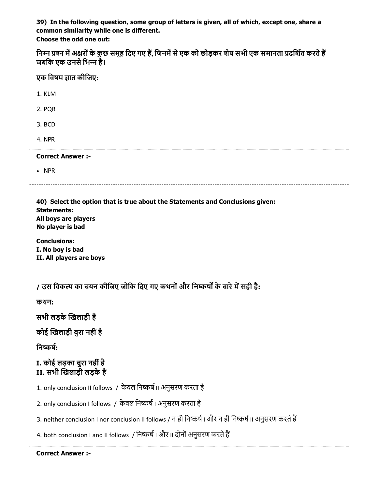39) In the following question, some group of letters is given, all of which, except one, share a common similarity while one is different.

Choose the odd one out:

| निम्न प्रश्न में अक्षरों के कुछ समूह दिए गए हैं, जिनमें से एक को छोड़कर शेष सभी एक समानता प्रदर्शित करते हैं |  |  |
|--------------------------------------------------------------------------------------------------------------|--|--|
| जबकि एक उनसे भिन्न है।                                                                                       |  |  |

| एक विषम ज्ञात कीजिए:                                                                                                                                                                                                    |
|-------------------------------------------------------------------------------------------------------------------------------------------------------------------------------------------------------------------------|
| 1. KLM                                                                                                                                                                                                                  |
| 2. PQR                                                                                                                                                                                                                  |
| 3. BCD                                                                                                                                                                                                                  |
| 4. NPR                                                                                                                                                                                                                  |
| <b>Correct Answer :-</b>                                                                                                                                                                                                |
| $\bullet$ NPR                                                                                                                                                                                                           |
| 40) Select the option that is true about the Statements and Conclusions given:<br><b>Statements:</b><br>All boys are players<br>No player is bad<br><b>Conclusions:</b><br>I. No boy is bad<br>II. All players are boys |
| / उस विकल्प का चयन कीजिए जोकि दिए गए कथनों और निष्कर्षों के बारे में सही है:                                                                                                                                            |
| कथन:                                                                                                                                                                                                                    |
| सभी लड़के खिलाड़ी हैं                                                                                                                                                                                                   |
| कोई खिलाड़ी बुरा नहीं है                                                                                                                                                                                                |
| निष्कर्ष:                                                                                                                                                                                                               |
| I. कोई लड़का बुरा नहीं है<br>II. सभी खिलाड़ी लड़के हैं                                                                                                                                                                  |
| 1. only conclusion II follows / केवल निष्कर्ष II अनुसरण करता है                                                                                                                                                         |
| 2. only conclusion I follows / केवल निष्कर्ष । अनुसरण करता है                                                                                                                                                           |
| 3. neither conclusion I nor conclusion II follows / न ही निष्कर्ष । और न ही निष्कर्ष II अनुसरण करते हैं                                                                                                                 |
|                                                                                                                                                                                                                         |
| 4. both conclusion I and II follows  / निष्कर्ष I और II दोनों अनुसरण करते हैं                                                                                                                                           |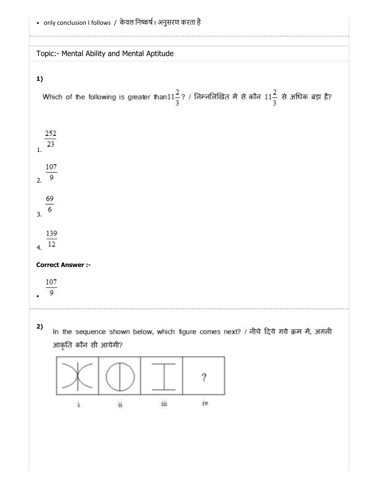|                                    |                     | Topic:- Mental Ability and Mental Aptitude |     |    |                                                                                                                    |  |
|------------------------------------|---------------------|--------------------------------------------|-----|----|--------------------------------------------------------------------------------------------------------------------|--|
| 1)                                 |                     |                                            |     |    |                                                                                                                    |  |
|                                    |                     |                                            |     |    | Which of the following is greater than11 $\frac{2}{3}$ ? / निम्नलिखित में से कौन 11 $\frac{2}{3}$ से अधिक बड़ा है? |  |
| $\frac{252}{23}$                   |                     |                                            |     |    |                                                                                                                    |  |
| $\overline{1}$ .                   |                     |                                            |     |    |                                                                                                                    |  |
| 107<br>2.9                         |                     |                                            |     |    |                                                                                                                    |  |
| $\frac{69}{6}$<br>$\overline{3}$ . |                     |                                            |     |    |                                                                                                                    |  |
| 139<br>4.12                        |                     |                                            |     |    |                                                                                                                    |  |
| <b>Correct Answer :-</b>           |                     |                                            |     |    |                                                                                                                    |  |
| 107<br>9                           |                     |                                            |     |    |                                                                                                                    |  |
| 2)                                 |                     |                                            |     |    | In the sequence shown below, which figure comes next? / नीचे दिये गये क्रम में, अगली                               |  |
|                                    | आकृति कौन सी आयेगी? |                                            |     |    |                                                                                                                    |  |
|                                    |                     |                                            |     |    |                                                                                                                    |  |
|                                    |                     | ii                                         | iii | iv |                                                                                                                    |  |
|                                    |                     |                                            |     |    |                                                                                                                    |  |
|                                    |                     |                                            |     |    |                                                                                                                    |  |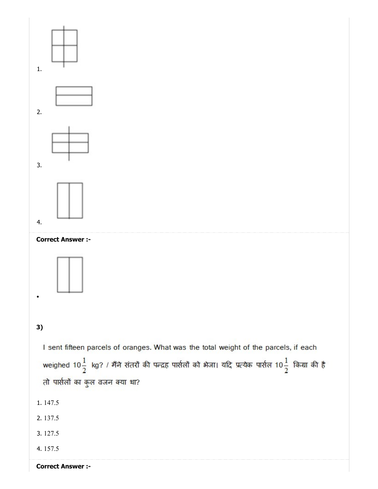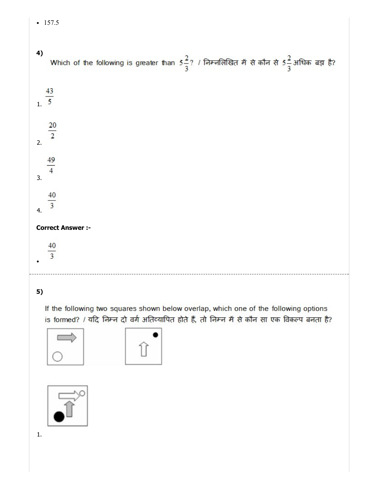| 4)             | Which of the following is greater than $5\frac{2}{3}$ ? / निम्नलिखित में से कौन से $5\frac{2}{3}$ अधिक बड़ा है? |
|----------------|-----------------------------------------------------------------------------------------------------------------|
| $\frac{43}{1}$ |                                                                                                                 |
| 2.             | $\frac{20}{2}$                                                                                                  |
| 3.             | $\frac{49}{4}$                                                                                                  |
| 4.             | $\frac{40}{3}$                                                                                                  |
|                | <b>Correct Answer :-</b>                                                                                        |
|                | 40<br>$\overline{3}$                                                                                            |
|                |                                                                                                                 |

5)

 $-157.5$ 

If the following two squares shown below overlap, which one of the following options is formed? / यदि निम्न दो वर्ग अतिव्यापित होते हैं, तो निम्न में से कौन सा एक विकल्प बनता है?







1.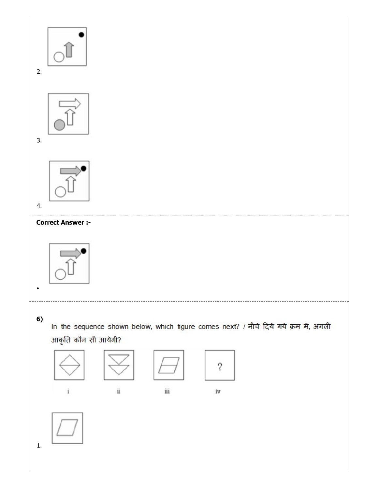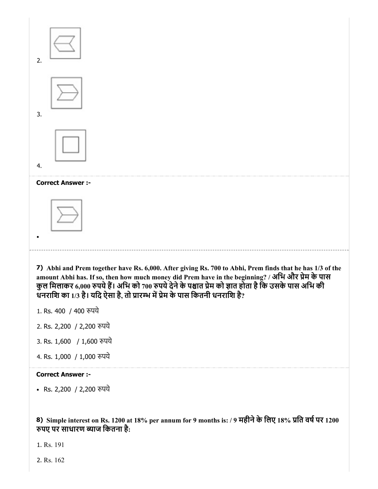

8) Simple interest on Rs. 1200 at 18% per annum for 9 months is: / 9 महीनेके िलए 18% ित वषपर 1200 पए पर साधारण याज िकतना है:

1. Rs. 191

2. Rs. 162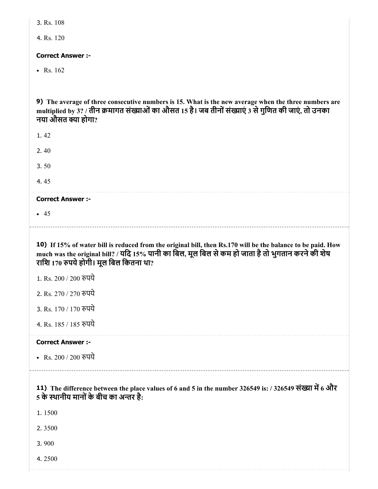|  | 3. Rs. 108 |
|--|------------|
|  |            |

4. Rs. 120

#### Correct Answer :-

• Rs.  $162$ 

9) The average of three consecutive numbers is 15. What is the new average when the three numbers are multiplied by 3? / तीन क्रमागत संख्याओं का औसत 15 है। जब तीनों संख्याएं 3 से गुणित की जाएं, तो उनका नया औसत क्या होगा?

1. 42

2. 40

3. 50

4. 45

#### Correct Answer :-

 $-45$ 

10) If 15% of water bill is reduced from the original bill, then Rs.170 will be the balance to be paid. How much was the original bill? / यदि 15% पानी का बिल, मूल बिल से कम हो जाता है तो भुगतान करने की शेष रािश 170 पयेहोगी। मूल िबल िकतना था?

1. Rs. 200 / 200 रुपये

2. Rs. 270 / 270 रुपये

3. Rs. 170 / 170 रुपये

4. Rs. 185 / 185 पये

#### Correct Answer :-

• Rs. 200 / 200 रुपये

## 11) The difference between the place values of 6 and 5 in the number 326549 is: / 326549 संख्या में 6 और 5 के स्थानीय मानों के बीच का अन्तर है:

1. 1500

2. 3500

3. 900

4. 2500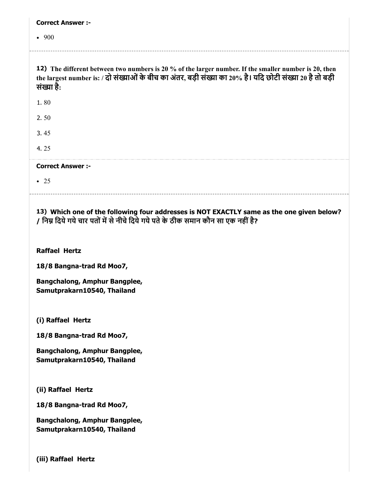| <b>Correct Answer:-</b>                                                                                                                                                                                                          |
|----------------------------------------------------------------------------------------------------------------------------------------------------------------------------------------------------------------------------------|
| • 900                                                                                                                                                                                                                            |
| 12) The different between two numbers is 20 % of the larger number. If the smaller number is 20, then<br>the largest number is: / दो संख्याओं के बीच का अंतर, बड़ी संख्या का 20% है। यदि छोटी संख्या 20 है तो बड़ी<br>संख्या है: |
| 1.80                                                                                                                                                                                                                             |
| 2.50                                                                                                                                                                                                                             |
| 3.45                                                                                                                                                                                                                             |
| 4.25                                                                                                                                                                                                                             |
| <b>Correct Answer :-</b>                                                                                                                                                                                                         |
| $\bullet$ 25                                                                                                                                                                                                                     |
| / निम्न दिये गये चार पतों में से नीचे दिये गये पते के ठीक समान कौन सा एक नहीं है?<br><b>Raffael Hertz</b>                                                                                                                        |
| 18/8 Bangna-trad Rd Moo7,                                                                                                                                                                                                        |
| Bangchalong, Amphur Bangplee,<br>Samutprakarn10540, Thailand                                                                                                                                                                     |
| (i) Raffael Hertz                                                                                                                                                                                                                |
| 18/8 Bangna-trad Rd Moo7,                                                                                                                                                                                                        |
| Bangchalong, Amphur Bangplee,<br>Samutprakarn10540, Thailand                                                                                                                                                                     |
| (ii) Raffael Hertz                                                                                                                                                                                                               |
| 18/8 Bangna-trad Rd Moo7,                                                                                                                                                                                                        |
| Bangchalong, Amphur Bangplee,                                                                                                                                                                                                    |

Samutprakarn10540, Thailand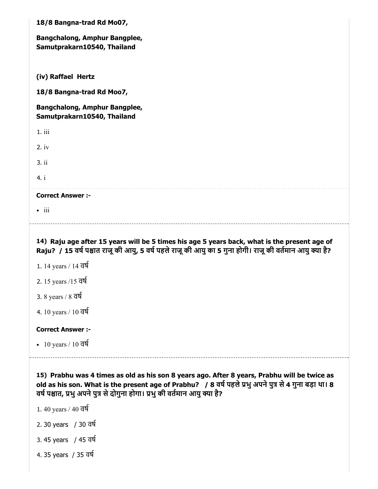| 18/8 Bangna-trad Rd Mo07,                                                                                                                                                                                                                                                             |  |
|---------------------------------------------------------------------------------------------------------------------------------------------------------------------------------------------------------------------------------------------------------------------------------------|--|
| Bangchalong, Amphur Bangplee,<br>Samutprakarn10540, Thailand                                                                                                                                                                                                                          |  |
| (iv) Raffael Hertz                                                                                                                                                                                                                                                                    |  |
| 18/8 Bangna-trad Rd Moo7,                                                                                                                                                                                                                                                             |  |
| Bangchalong, Amphur Bangplee,<br>Samutprakarn10540, Thailand                                                                                                                                                                                                                          |  |
| 1. iii                                                                                                                                                                                                                                                                                |  |
| $2.$ iv                                                                                                                                                                                                                                                                               |  |
| 3.ii                                                                                                                                                                                                                                                                                  |  |
| 4. i                                                                                                                                                                                                                                                                                  |  |
| <b>Correct Answer :-</b>                                                                                                                                                                                                                                                              |  |
| $\bullet$ iii                                                                                                                                                                                                                                                                         |  |
| 14) Raju age after 15 years will be 5 times his age 5 years back, what is the present age of<br>Raju? / 15 वर्ष पश्चात राजू की आयु, 5 वर्ष पहले राजू की आयु का 5 गुना होगी। राजू की वर्तमान आयु क्या है?<br>1. 14 years / 14 वर्ष                                                     |  |
| 2. 15 years /15 वर्ष                                                                                                                                                                                                                                                                  |  |
|                                                                                                                                                                                                                                                                                       |  |
| 3. 8 years / $8 \overline{q}$                                                                                                                                                                                                                                                         |  |
| 4. 10 years / 10 $\overline{d}$                                                                                                                                                                                                                                                       |  |
| <b>Correct Answer :-</b>                                                                                                                                                                                                                                                              |  |
| • 10 years / 10 $\overline{d}$                                                                                                                                                                                                                                                        |  |
| 15) Prabhu was 4 times as old as his son 8 years ago. After 8 years, Prabhu will be twice as<br>old as his son. What is the present age of Prabhu? / 8 वर्ष पहले प्रभु अपने पुत्र से 4 गुना बड़ा था। 8<br>वर्ष पश्चात, प्रभु अपने पुत्र से दोगुना होगा। प्रभु की वर्तमान आयु क्या है? |  |
| 1.40 years / 40 वर्ष                                                                                                                                                                                                                                                                  |  |
| 2.30 years / 30 वर्ष                                                                                                                                                                                                                                                                  |  |
| 3.45 years / 45 वर्ष                                                                                                                                                                                                                                                                  |  |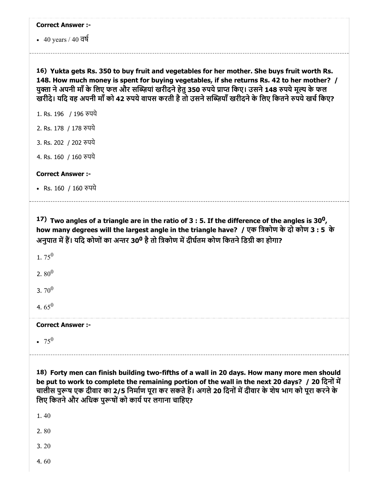| <b>Correct Answer :-</b>                   |                                                                                                                                                                                                                                                                                                                                                                                                               |
|--------------------------------------------|---------------------------------------------------------------------------------------------------------------------------------------------------------------------------------------------------------------------------------------------------------------------------------------------------------------------------------------------------------------------------------------------------------------|
| • 40 years / 40 $\overline{q}\overline{q}$ |                                                                                                                                                                                                                                                                                                                                                                                                               |
|                                            | 16) Yukta gets Rs. 350 to buy fruit and vegetables for her mother. She buys fruit worth Rs.<br>148. How much money is spent for buying vegetables, if she returns Rs. 42 to her mother? /<br>युक्ता ने अपनी माँ के लिए फल और सब्ज़ियां खरीदने हेतु 350 रुपये प्राप्त किए। उसने 148 रुपये मूल्य के फल<br>खरीदे। यदि वह अपनी माँ को 42 रुपये वापस करती है तो उसने सब्ज़ियाँ खरीदने के लिए कितने रुपये खर्च किए? |
| 1. Rs. 196 / 196 रुपये                     |                                                                                                                                                                                                                                                                                                                                                                                                               |
| 2. Rs. 178 / 178 रुपये                     |                                                                                                                                                                                                                                                                                                                                                                                                               |
| 3. Rs. 202 / 202 रुपये                     |                                                                                                                                                                                                                                                                                                                                                                                                               |
| 4. Rs. 160 / 160 रुपये                     |                                                                                                                                                                                                                                                                                                                                                                                                               |
| <b>Correct Answer:-</b>                    |                                                                                                                                                                                                                                                                                                                                                                                                               |
|                                            |                                                                                                                                                                                                                                                                                                                                                                                                               |
| • Rs. 160 / 160 रुपये                      |                                                                                                                                                                                                                                                                                                                                                                                                               |
| 1.75 $^{0}$                                | 17) Two angles of a triangle are in the ratio of 3 : 5. If the difference of the angles is 30 <sup>0</sup> ,<br>how many degrees will the largest angle in the triangle have? / एक त्रिकोण के दो कोण 3 : 5 के<br>अनुपात में हैं। यदि कोणों का अन्तर 30 <sup>0</sup> है तो त्रिकोण में दीर्घतम कोण कितने डिग्री का होगा?                                                                                       |
| 2.80 <sup>0</sup>                          |                                                                                                                                                                                                                                                                                                                                                                                                               |
| 3.70 <sup>0</sup>                          |                                                                                                                                                                                                                                                                                                                                                                                                               |
| 4.65 $^{0}$                                |                                                                                                                                                                                                                                                                                                                                                                                                               |
| <b>Correct Answer :-</b>                   |                                                                                                                                                                                                                                                                                                                                                                                                               |

18) Forty men can finish building two-fifths of a wall in 20 days. How many more men should be put to work to complete the remaining portion of the wall in the next 20 days? / 20 दिनों में चालीस पुरूष एक दीवार का 2/5 निर्माण पूरा कर सकते हैं। अगले 20 दिनों में दीवार के शेष भाग को पूरा करने के िलए िकतनेऔर अिधक पुषोंको कायपर लगाना चािहए?

1. 40

2. 80

3. 20

4. 60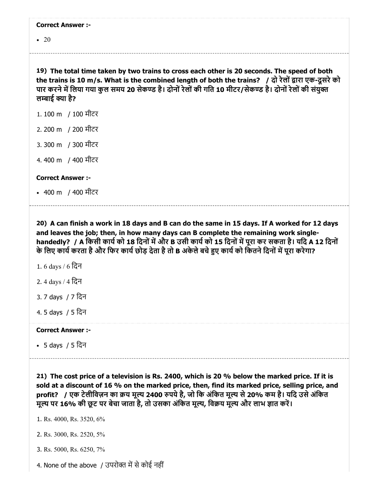|  | <b>Correct Answer :-</b> |  |
|--|--------------------------|--|
|--|--------------------------|--|

 $\cdot$  20

19) The total time taken by two trains to cross each other is 20 seconds. The speed of both the trains is 10 m/s. What is the combined length of both the trains? / दो रेलों द्वारा एक-दूसरे को पार करने में लिया गया कुल समय 20 सेकण्ड है। दोनों रेलों की गति 10 मीटर/सेकण्ड है। दोनों रेलों की संयुक्त लम्बाई क्या है?

- 1. 100 m / 100 मीटर
- 2. 200 m / 200 मीटर
- 3. 300 m / 300 मीटर
- 4. 400 m / 400 मीटर

Correct Answer :-

• 400 m) / 400 मीटर

20) A can finish a work in 18 days and B can do the same in 15 days. If A worked for 12 days and leaves the job; then, in how many days can B complete the remaining work singlehandedly? / A किसी कार्य को 18 दिनों में और B उसी कार्य को 15 दिनों में पूरा कर सकता है। यदि A 12 दिनों के लिए कार्य करता है और फिर कार्य छोड़ देता है तो B अकेले बचे हुए कार्य को कितने दिनों में पूरा करेगा?

- 1. 6 days / 6 िदन
- 2. 4 days / 4 िदन
- 3. 7 days / 7 िदन
- 4. 5 days / 5 िदन

#### Correct Answer :-

5 days / 5 िदन

21) The cost price of a television is Rs. 2400, which is 20 % below the marked price. If it is sold at a discount of 16 % on the marked price, then, find its marked price, selling price, and profit? / एक टेलीविज़न का क्रय मूल्य 2400 रुपये है, जो कि अंकित मूल्य से 20% कम है। यदि उसे अंकित मूल्य पर 16% की छूट पर बेचा जाता है, तो उसका अंकित मूल्य, विक्रय मूल्य और लाभ ज्ञात करें।

1. Rs. 4000, Rs. 3520, 6%

- 2. Rs. 3000, Rs. 2520, 5%
- 3. Rs. 5000, Rs. 6250, 7%
- 4. None of the above / उपरोक्त में से कोई नहीं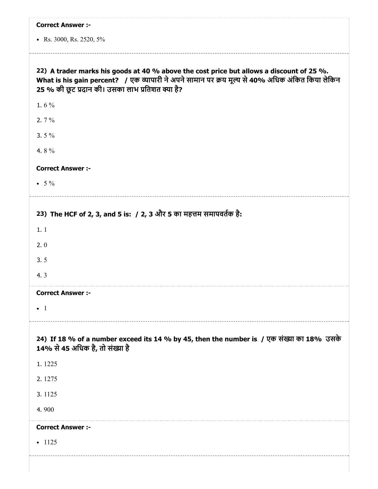| <b>Correct Answer :-</b>                                                                                                                                                                                                                         |
|--------------------------------------------------------------------------------------------------------------------------------------------------------------------------------------------------------------------------------------------------|
| • Rs. 3000, Rs. 2520, 5%                                                                                                                                                                                                                         |
| 22) A trader marks his goods at 40 % above the cost price but allows a discount of 25 %.<br>What is his gain percent? / एक व्यापारी ने अपने सामान पर क्रय मूल्य से 40% अधिक अंकित किया लेकिन<br>25 % की छूट प्रदान की। उसका लाभ प्रतिशत क्या है? |
| 1.6 $%$                                                                                                                                                                                                                                          |
| 2. $7\%$                                                                                                                                                                                                                                         |
| 3.5 $%$                                                                                                                                                                                                                                          |
| 4.8%                                                                                                                                                                                                                                             |
| <b>Correct Answer :-</b>                                                                                                                                                                                                                         |
| • $5\%$                                                                                                                                                                                                                                          |
|                                                                                                                                                                                                                                                  |
| 23) The HCF of 2, 3, and 5 is: / 2, 3 और 5 का महत्तम समापवर्तक है:                                                                                                                                                                               |
| 1.1                                                                                                                                                                                                                                              |
| 2.0                                                                                                                                                                                                                                              |
| 3.5                                                                                                                                                                                                                                              |
| 4.3                                                                                                                                                                                                                                              |
| <b>Correct Answer :-</b>                                                                                                                                                                                                                         |
| $\bullet$ 1                                                                                                                                                                                                                                      |
| 24) If 18 % of a number exceed its 14 % by 45, then the number is / एक संख्या का 18% उसके<br>14% से 45 अधिक है, तो संख्या है                                                                                                                     |
| 1.1225                                                                                                                                                                                                                                           |
| 2.1275                                                                                                                                                                                                                                           |
| 3.1125                                                                                                                                                                                                                                           |
| 4.900                                                                                                                                                                                                                                            |
| <b>Correct Answer :-</b>                                                                                                                                                                                                                         |
| $-1125$                                                                                                                                                                                                                                          |
|                                                                                                                                                                                                                                                  |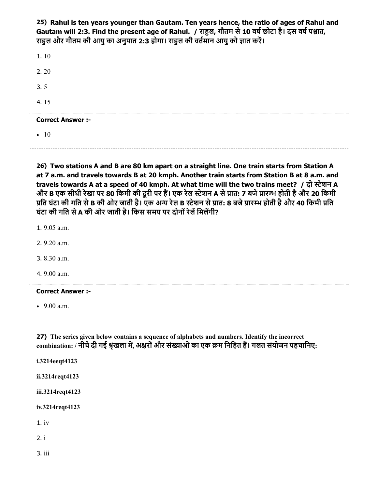25) Rahul is ten years younger than Gautam. Ten years hence, the ratio of ages of Rahul and Gautam will 2:3. Find the present age of Rahul. / राहुल, गौतम से 10 वर्ष छोटा है। दस वर्ष पश्चात, राहुल और गौतम की आयु का अनुपात 2:3 होगा। राहुल की वर्तमान आयु को ज्ञात करें।

| $\bullet$                |  |  |  |
|--------------------------|--|--|--|
| <b>Correct Answer :-</b> |  |  |  |
| 4.15                     |  |  |  |
| 3.5                      |  |  |  |
| 2.20                     |  |  |  |
| 1.10                     |  |  |  |

26) Two stations A and B are 80 km apart on a straight line. One train starts from Station A at 7 a.m. and travels towards B at 20 kmph. Another train starts from Station B at 8 a.m. and travels towards A at a speed of 40 kmph. At what time will the two trains meet? / दो स्टेशन A और B एक सीधी रेखा पर 80 किमी की दूरी पर हैं। एक रेल स्टेशन A से प्रात: 7 बजे प्रारम्भ होती है और 20 किमी प्रति घंटा की गति से B की ओर जाती है। एक अन्य रेल B स्टेशन से प्रात: 8 बजे प्रारम्भ होती है और 40 किमी प्रति घंटा की गति से A की ओर जाती है। किस समय पर दोनों रेलें मिलेंगी?

1. 9.05 a.m.

2. 9.20 a.m.

3. 8.30 a.m.

4. 9.00 a.m.

#### Correct Answer :-

• 9.00 a.m.

27) The series given below contains a sequence of alphabets and numbers. Identify the incorrect combination: / नीचे दी गई श्रृंखला में, अक्षरों और संख्याओं का एक क्रम निहित हैं। गलत संयोजन पहचानिए:

i.3214eeqt4123

ii.3214reqt4123

iii.3214reqt4123

iv.3214reqt4123

1. iv

2. i

3. iii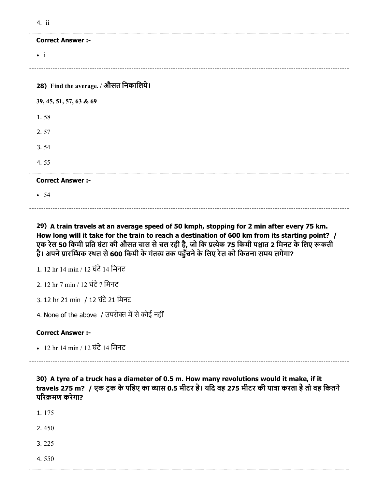| 4. ii                                 |
|---------------------------------------|
| <b>Correct Answer :-</b>              |
| $\bullet$ i                           |
|                                       |
| 28) Find the average. / औसत निकालिये। |
| 39, 45, 51, 57, 63 & 69               |
| 1.58                                  |
| 2.57                                  |
| 3.54                                  |
| 4.55                                  |
| <b>Correct Answer :-</b>              |
| • 54                                  |

29) A train travels at an average speed of 50 kmph, stopping for 2 min after every 75 km. How long will it take for the train to reach a destination of 600 km from its starting point? / एक रेल 50 किमी प्रति घंटा की औसत चाल से चल रही है, जो कि प्रत्येक 75 किमी पश्चात 2 मिनट के लिए रूकती है। अपने प्रारम्भिक स्थल से 600 किमी के गंतव्य तक पहुँचने के लिए रेल को कितना समय लगेगा?

1. 12 hr 14 min / 12 घंटे 14 मिनट

2. 12 hr 7 min / 12 घंटे 7 मिनट

3. 12 hr 21 min / 12 घंटे 21 मिनट

4. None of the above  $\,$  / उपरोक्त में से कोई नहीं

Correct Answer :-

• 12 hr 14 min / 12 घंटे 14 मिनट

30) A tyre of a truck has a diameter of 0.5 m. How many revolutions would it make, if it travels 275 m? / एक ट्रक के पहिए का व्यास 0.5 मीटर है। यदि वह 275 मीटर की यात्रा करता है तो वह कितने परिक्रमण करेगा?

1. 175

2. 450

3. 225

4. 550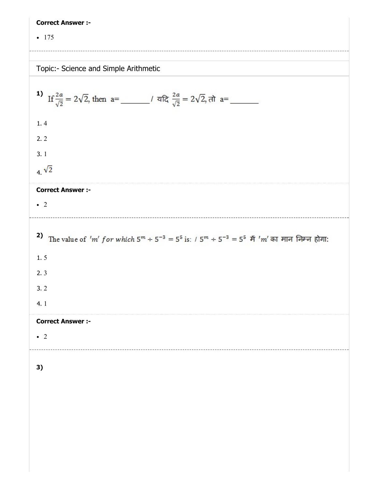| <b>Correct Answer :-</b>                                                                                                             |
|--------------------------------------------------------------------------------------------------------------------------------------|
| $-175$                                                                                                                               |
|                                                                                                                                      |
| Topic:- Science and Simple Arithmetic                                                                                                |
|                                                                                                                                      |
| 1) If $\frac{2a}{\sqrt{2}} = 2\sqrt{2}$ , then $a =$ $\frac{2a}{\sqrt{2}} = 2\sqrt{2}$ , $\pi a =$ $\frac{2a}{\sqrt{2}} = 2\sqrt{2}$ |
| 1.4                                                                                                                                  |
| 2.2                                                                                                                                  |
| 3.1                                                                                                                                  |
| $4\sqrt{2}$                                                                                                                          |
| <b>Correct Answer :-</b>                                                                                                             |
| $\bullet$ 2                                                                                                                          |
| 2) The value of 'm' for which $5^m \div 5^{-3} = 5^5$ is: $/ 5^m \div 5^{-3} = 5^5$ मैं 'm' का मान निम्न होगा:                       |
|                                                                                                                                      |
| 1.5                                                                                                                                  |
| 2.3                                                                                                                                  |
| 3.2                                                                                                                                  |
| 4.1                                                                                                                                  |
| <b>Correct Answer :-</b>                                                                                                             |
| $\bullet$ 2                                                                                                                          |
|                                                                                                                                      |
| 3)                                                                                                                                   |
|                                                                                                                                      |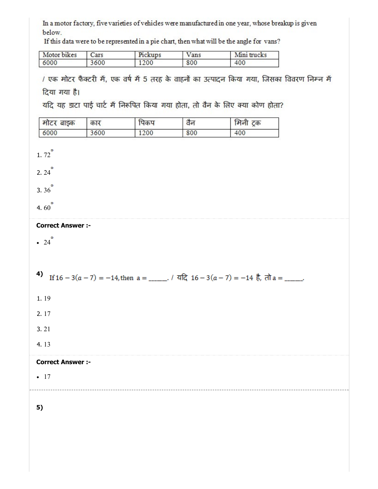In a motor factory, five varieties of vehicles were manufactured in one year, whose breakup is given below.

If this data were to be represented in a pie chart, then what will be the angle for vans?

| Motor. | <b>COMPART</b> |      | T    | micks |
|--------|----------------|------|------|-------|
| bikes  | Jars           |      | Vans | vum   |
| 6000   |                | 1200 | 800  | 400   |

/ एक मोटर फैक्टरी में, एक वर्ष में 5 तरह के वाहनों का उत्पादन किया गया, जिसका विवरण निम्न में दिया गया है।

यदि यह डाटा पाई चार्ट में निरूपित किया गया होता, तो वैन के लिए क्या कोण होता?

| मोटर<br>बाइक | कार  |      | $C_{\sigma}$ | ट्रक<br>।मना |
|--------------|------|------|--------------|--------------|
| 6000         | 3600 | 1200 | 800          | 400          |

1.  $72^{\circ}$ 

 $2.24$ <sup> $^{\circ}$ </sup>

3.  $36^{o}$ 

4.60 $^{\circ}$ 

#### Correct Answer :-

 $\cdot$  24 $\degree$ 

4) If  $16 - 3(a - 7) = -14$ , then  $a =$  \_\_\_\_\_\_, / यदि  $16 - 3(a - 7) = -14$  है, तो  $a =$  \_\_\_\_,

1. 19

2. 17

3. 21

4. 13

#### Correct Answer :-

 $-17$ 

5)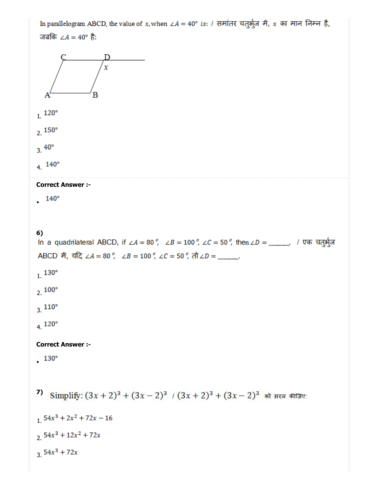In parallelogram ABCD, the value of x, when  $\angle A = 40^\circ$  is: / समांतर चतुर्भूज में, x का मान निम्न है, जबकि ∠ $A = 40^\circ$  है: D  $\chi$ B A  $1.120^{\circ}$  $2.150^{\circ}$  $3.40^{\circ}$ 4.  $140^{\circ}$ Correct Answer :-  $. 140°$ 6)<br>In a quadrilateral ABCD, if ∠*A* = 80 °, ∠*B* = 100 °, ∠*C* = 50 °, then ∠*D* = \_\_\_\_\_, / एक चतुर्भुज ABCD में, यदि ∠A = 80 °, ∠B = 100 °, ∠C = 50 °, तो ∠D = \_\_\_\_\_.  $1.130^{\circ}$  $2.100^{\circ}$  $3.110^{\circ}$ 4.  $120^{\circ}$ Correct Answer :-  $.130°$ Simplify:  $(3x + 2)^3 + (3x - 2)^3$  /  $(3x + 2)^3 + (3x - 2)^3$  को सरत कीजिए: 7)  $1.54x^3 + 2x^2 + 72x - 16$  $2.54x^3 + 12x^2 + 72x$  $3.54x^3 + 72x$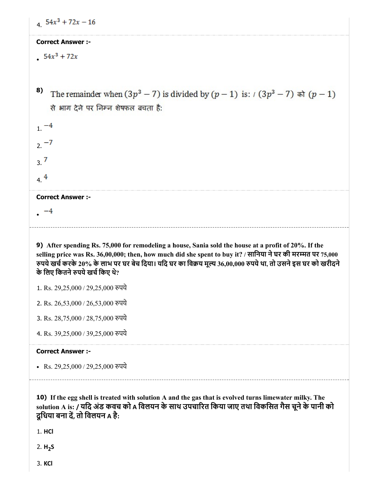| $4\quad 54x^3 + 72x - 16$                                                                                                                                                                                                                                                                                                                                               |
|-------------------------------------------------------------------------------------------------------------------------------------------------------------------------------------------------------------------------------------------------------------------------------------------------------------------------------------------------------------------------|
| <b>Correct Answer :-</b>                                                                                                                                                                                                                                                                                                                                                |
| $54x^3 + 72x$                                                                                                                                                                                                                                                                                                                                                           |
|                                                                                                                                                                                                                                                                                                                                                                         |
| 8)<br>The remainder when $(3p^3 - 7)$ is divided by $(p - 1)$ is: $(3p^3 - 7)$ $\pi$ $(p - 1)$                                                                                                                                                                                                                                                                          |
| से भाग देने पर निम्न शेषफल बचता है:                                                                                                                                                                                                                                                                                                                                     |
|                                                                                                                                                                                                                                                                                                                                                                         |
| $1^{-4}$                                                                                                                                                                                                                                                                                                                                                                |
| $2. -7$                                                                                                                                                                                                                                                                                                                                                                 |
| 3.7                                                                                                                                                                                                                                                                                                                                                                     |
| 4.4                                                                                                                                                                                                                                                                                                                                                                     |
| <b>Correct Answer :-</b>                                                                                                                                                                                                                                                                                                                                                |
|                                                                                                                                                                                                                                                                                                                                                                         |
|                                                                                                                                                                                                                                                                                                                                                                         |
| 9) After spending Rs. 75,000 for remodeling a house, Sania sold the house at a profit of 20%. If the<br>selling price was Rs. 36,00,000; then, how much did she spent to buy it? / सानिया ने घर की मरम्मत पर 75,000<br>रुपये खर्च करके 20% के लाभ पर घर बेच दिया। यदि घर का विक्रय मूल्य 36,00,000 रुपये था, तो उसने इस घर को खरीदने<br>के लिए कितने रुपये खर्च किए थे? |
| 1. Rs. 29,25,000 / 29,25,000 रुपये                                                                                                                                                                                                                                                                                                                                      |
| 2. Rs. 26,53,000 / 26,53,000 रुपये                                                                                                                                                                                                                                                                                                                                      |
| 3. Rs. 28,75,000 / 28,75,000 रुपये                                                                                                                                                                                                                                                                                                                                      |
| 4. Rs. 39,25,000 / 39,25,000 रुपये                                                                                                                                                                                                                                                                                                                                      |
| <b>Correct Answer :-</b>                                                                                                                                                                                                                                                                                                                                                |
| • Rs. $29,25,000 / 29,25,000$ रुपये                                                                                                                                                                                                                                                                                                                                     |
| 10) If the egg shell is treated with solution A and the gas that is evolved turns limewater milky. The<br>solution A is: / यदि अंड कवच को A विलयन के साथ उपचारित किया जाए तथा विकसित गैस चूने के पानी को<br>दुधिया बना दें, तो विलयन A है:<br>1. HCI                                                                                                                    |

3. KCl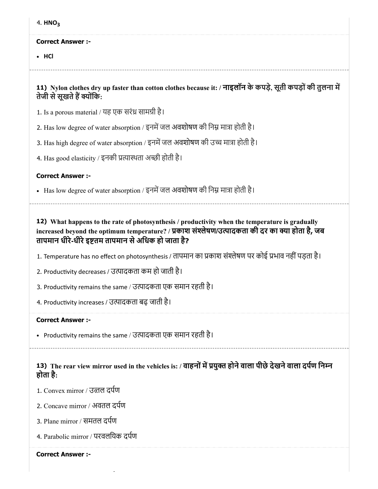|  | HNO. |
|--|------|
|--|------|

#### Correct Answer :-

• HCl

11) Nylon clothes dry up faster than cotton clothes because it: / नाइलॉन के कपड़े, सूती कपड़ोंकी तुलना म तेजी से सूखते हैं क्योंकि:

1. Is a porous material / यह एक सरंध्र सामग्री है।

2. Has low degree of water absorption / इनमें जल अवशोषण की निम्न मात्रा होती है।

3. Has high degree of water absorption / इनमें जल अवशोषण की उच्च मात्रा होती है।

4. Has good elasticity / इनकी प्रत्यास्थता अच्छी होती है।

### Correct Answer :-

- Has low degree of water absorption / इनमें जल अवशोषण की निम्न मात्रा होती है।

12) What happens to the rate of photosynthesis / productivity when the temperature is gradually increased beyond the optimum temperature? / प्रकाश संश्लेषण/उत्पादकता की दर का क्या होता है, जब तापमान धीरे-धीरे इष्टतम तापमान से अधिक हो जाता है?

1. Temperature has no effect on photosynthesis / तापमान का प्रकाश संश्लेषण पर कोई प्रभाव नहीं पड़ता है।

2. Productivity decreases / उत्पादकता कम हो जाती है।

3. Productivity remains the same / उत्पादकता एक समान रहती है।

4. Productivity increases / उत्पादकता बढ़ जाती है।

#### Correct Answer :-

• Productivity remains the same / उत्पादकता एक समान रहती है।

13) The rear view mirror used in the vehicles is: / वाहनों में प्रयुक्त होने वाला पीछे देखने वाला दर्पण निम्न होता है:

1. Convex mirror / उतल दपण

2. Concave mirror / अवतल दपण

3. Plane mirror / समतल दपण

4. Parabolic mirror / परवलियक दपण

Correct Answer :-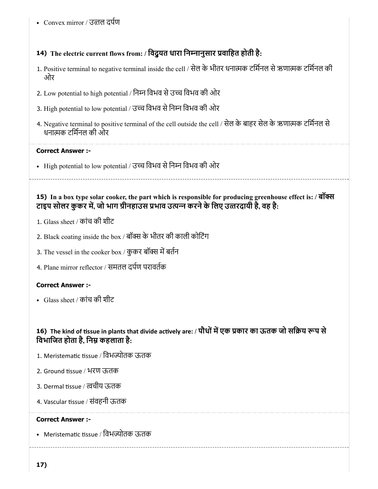Convex mirror / उतल दपण

# 14) The electric current flows from: / िवद्ुयत धारा िननानुसार वािहत होती है:

- 1. Positive terminal to negative terminal inside the cell / सेल के भीतर धनामक टिमनल सेऋणामक टिमनल की ओर
- 2. Low potential to high potential / िनन िवभव सेउच िवभव की ओर
- 3. High potential to low potential / उच्च विभव से निम्न विभव की ओर
- 4. Negative terminal to positive terminal of the cell outside the cell / सेल के बाहर सेल के ऋणामक टिमनल से धनामक टिमनल की ओर

## Correct Answer :-

• High potential to low potential / उच्च विभव से निम्न विभव की ओर

15) In a box type solar cooker, the part which is responsible for producing greenhouse effect is: / बॉस टाइप सोलर कुकर में, जो भाग ग्रीनहाउस प्रभाव उत्पन्न करने के लिए उत्तरदायी है, वह है:

- 1. Glass sheet / कांच की शीट
- 2. Black coating inside the box / बॉक्स के भीतर की काली कोटिंग
- 3. The vessel in the cooker box / कुकर बॉक्स में बर्तन
- 4. Plane mirror reflector / समतल दपण परावतक

## Correct Answer :-

Glass sheet / कांच की शीट

## 16) The kind of tissue in plants that divide actively are: / पौधों में एक प्रकार का ऊतक जो सक्रिय रूप से विभाजित होता है, निम्न कहलाता है:

- 1. Meristematic tissue / विभज्योतक ऊतक
- 2. Ground tissue / भरण ऊतक
- 3. Dermal tissue / त्वचीय ऊतक
- 4. Vascular tissue / संवहनी ऊतक

## Correct Answer :-

• Meristematic tissue / विभज्योतक ऊतक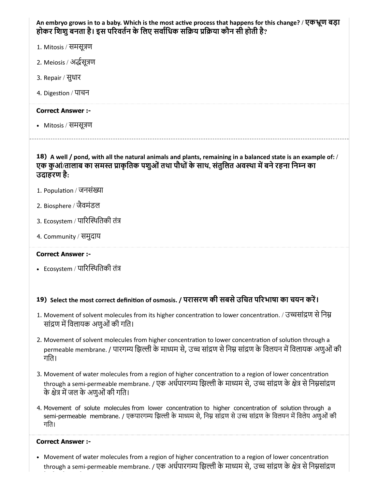An embryo grows in to a baby. Which is the most active process that happens for this change? / एकभ्रूण बड़ा होकर शिशु बनता है। इस परिवर्तन के लिए सर्वाधिक सक्रिय प्रक्रिया कौन सी होती है?

- 1. Mitosis / समसूण
- 2. Meiosis / असूण
- 3. Repair / सुधार
- 4. Digestion / पाचन

#### Correct Answer :-

• Mitosis / समसूत्रण

18) A well / pond, with all the natural animals and plants, remaining in a balanced state is an example of: / एक कुआं/तालाब का समस्त प्राकृतिक पशुओं तथा पौधों के साथ, संतुलित अवस्था में बने रहना निम्न का उदाहरण है:

- 1. Population / जनसंख्या
- 2. Biosphere / जैवमंडल
- 3. Ecosystem / पारिस्थितिकी तंत्र
- 4. Community / समुदाय

#### Correct Answer :-

• Ecosystem / पारिस्थितिकी तंत्र

## 19) Select the most correct definition of osmosis. / परासरण की सबसे उचित परिभाषा का चयन करें।

- 1. Movement of solvent molecules from its higher concentration to lower concentration. / उच्चसांद्रण से निम्न सांद्रण में विलायक अणुओं की गति।
- 2. Movement of solvent molecules from higher concentration to lower concentration of solution through a permeable membrane. / पारगम्य झिल्ली के माध्यम से, उच्च सांद्रण से निम्न सांद्रण के विलयन में विलायक अणुओं की गित।
- 3. Movement of water molecules from a region of higher concentration to a region of lower concentration through a semi-permeable membrane. / एक अर्धपारगम्य झिल्ली के माध्यम से, उच्च सांद्रण के क्षेत्र से निम्नसांद्रण के क्षेत्र में जल के अणुओं की गति।
- 4. Movement of solute molecules from lower concentration to higher concentration of solution through a semi-permeable membrane. / एकपारगम्य झिल्ली के माध्यम से, निम्न सांद्रण से उच्च सांद्रण के विलयन में विलेय अणुओं की गित।

#### Correct Answer :-

• Movement of water molecules from a region of higher concentration to a region of lower concentration through a semi-permeable membrane. / एक अर्धपारगम्य झिल्ली के माध्यम से, उच्च सांद्रण के क्षेत्र से निम्नसांद्रण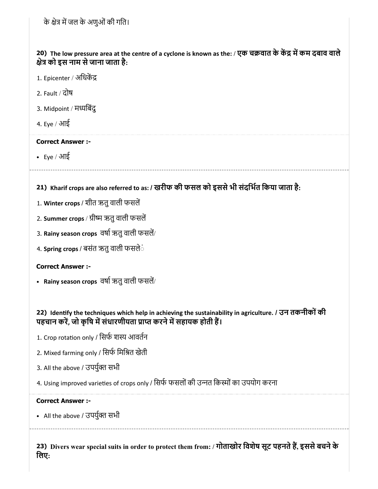20) The low pressure area at the centre of a cyclone is known as the: / एक चक्रवात के केंद्र में कम दबाव वाले े को इस नाम सेजाना जाता है:

- 1. Epicenter / अधिकेंद्र
- 2. Fault / दोष
- 3. Midpoint / मिबंदु
- 4. Eye / आई

### Correct Answer :-

Eye / आई

21) Kharif crops are also referred to as: / खरीफ की फसल को इससेभी संदिभत िकया जाता है:

- 1. Winter crops / शीत ऋतु वाली फसलें
- 2. Summer crops / ग्रीष्म ऋतु वाली फसलें
- 3. Rainy season crops वर्षा ऋतु वाली फसलें/
- 4. **Spring crops** / बसंत ऋतु वाली फसले**ं**

## Correct Answer :-

• Rainy season crops वर्षा ऋतु वाली फसलें/

## 22) Identify the techniques which help in achieving the sustainability in agriculture. / उन तकनीकों की पहचान करें, जो कृषि में संधारणीयता प्राप्त करने में सहायक होती हैं।

- 1. Crop rotation only / सिर्फ शस्य आवर्तन
- 2. Mixed farming only / िसफ िमित खेती
- 3. All the above / उपर्युक्त सभी
- 4. Using improved varieties of crops only / सिर्फ फसलों की उन्नत किस्मों का उपयोग करना

## Correct Answer :-

• All the above / उपर्युक्त सभी

23) Divers wear special suits in order to protect them from: / गोताखोर विशेष सूट पहनते है, इससे बचने के िलए: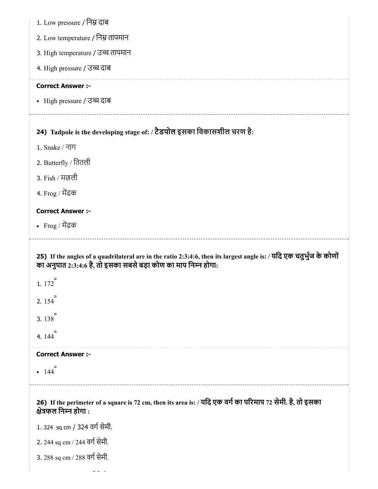| 1. Low pressure / निम्न दाब                                                                                                                                                            |
|----------------------------------------------------------------------------------------------------------------------------------------------------------------------------------------|
| 2. Low temperature / निम्न तापमान                                                                                                                                                      |
| 3. High temperature / उच्च तापमान                                                                                                                                                      |
| 4. High pressure / उच्च दाब                                                                                                                                                            |
| <b>Correct Answer :-</b>                                                                                                                                                               |
| • High pressure / उच्च दाब                                                                                                                                                             |
| 24) Tadpole is the developing stage of: / टैडपोल इसका विकासशील चरण है:                                                                                                                 |
| 1. Snake / नाग                                                                                                                                                                         |
| 2. Butterfly / तितली                                                                                                                                                                   |
| 3. Fish / मछली                                                                                                                                                                         |
| 4. Frog / मेंढक                                                                                                                                                                        |
| <b>Correct Answer :-</b>                                                                                                                                                               |
| • Frog / मेंढक                                                                                                                                                                         |
| 25) If the angles of a quadrilateral are in the ratio 2:3:4:6, then its largest angle is: / यदि एक चतुर्भुज के कोणों<br>का अनुपात 2:3:4:6 है, तो इसका सबसे बड़ा कोण का माप निम्न होगा: |
| 1.172                                                                                                                                                                                  |
| 2.154                                                                                                                                                                                  |
| 3.138                                                                                                                                                                                  |
| 4. 144                                                                                                                                                                                 |
| <b>Correct Answer :-</b>                                                                                                                                                               |
| 144                                                                                                                                                                                    |
| 26) If the perimeter of a square is 72 cm, then its area is: / यदि एक वर्ग का परिमाप 72 सेमी. है, तो इसका<br>क्षेत्रफल निम्न होगा :                                                    |
| 1.324 sq cm / 324 वर्ग सेमी.                                                                                                                                                           |
| 2. 244 sq cm / 244 वर्ग सेमी.                                                                                                                                                          |
| 3. 288 sq cm / 288 वर्ग सेमी.                                                                                                                                                          |
|                                                                                                                                                                                        |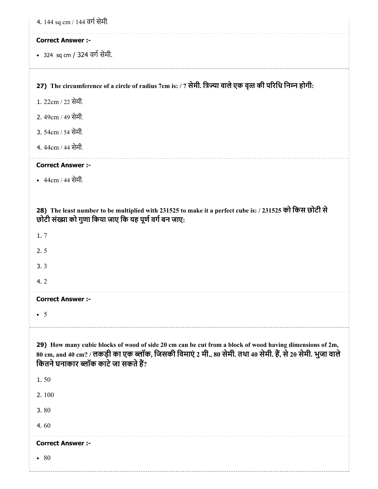| 4. 144 sq cm / 144 वर्ग सेमी.                                                                                                                                                                                                                                   |
|-----------------------------------------------------------------------------------------------------------------------------------------------------------------------------------------------------------------------------------------------------------------|
| <b>Correct Answer :-</b>                                                                                                                                                                                                                                        |
| • 324 sq cm / 324 वर्ग सेमी.                                                                                                                                                                                                                                    |
| 27) The circumference of a circle of radius 7cm is: / 7 सेमी. त्रिज्या वाले एक वृत्त की परिधि निम्न होगी:                                                                                                                                                       |
| 1. 22cm / 22 सेमी.                                                                                                                                                                                                                                              |
| 2. 49cm / 49 सेमी.                                                                                                                                                                                                                                              |
| 3. 54cm / 54 सेमी.                                                                                                                                                                                                                                              |
| 4.44cm / 44 सेमी.                                                                                                                                                                                                                                               |
| <b>Correct Answer :-</b>                                                                                                                                                                                                                                        |
| • 44cm / 44 सेमी.                                                                                                                                                                                                                                               |
|                                                                                                                                                                                                                                                                 |
| 28) The least number to be multiplied with 231525 to make it a perfect cube is: / 231525 को किस छोटी से<br>छोटी संख्या को गुणा किया जाए कि यह पूर्ण वर्ग बन जाए:                                                                                                |
| 1.7                                                                                                                                                                                                                                                             |
| 2.5                                                                                                                                                                                                                                                             |
| 3.3                                                                                                                                                                                                                                                             |
| 4.2                                                                                                                                                                                                                                                             |
| <b>Correct Answer :-</b>                                                                                                                                                                                                                                        |
| $\bullet$ 5                                                                                                                                                                                                                                                     |
| 29) How many cubic blocks of wood of side 20 cm can be cut from a block of wood having dimensions of 2m,<br>80 cm, and 40 cm? / लकड़ी का एक ब्लॉक, जिसकी विमाएं 2 मी., 80 सेमी. तथा 40 सेमी. हैं, से 20 सेमी. भुजा वाले<br>कितने घनाकार ब्लॉक काटे जा सकते हैं? |
| 1.50                                                                                                                                                                                                                                                            |
| 2.100                                                                                                                                                                                                                                                           |
| 3.80                                                                                                                                                                                                                                                            |
| 4.60                                                                                                                                                                                                                                                            |
| <b>Correct Answer :-</b>                                                                                                                                                                                                                                        |
| • 80                                                                                                                                                                                                                                                            |
|                                                                                                                                                                                                                                                                 |